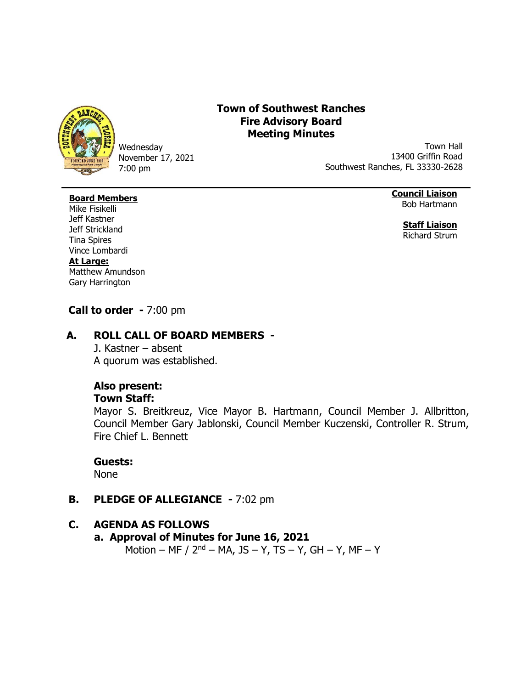

Wednesday November 17, 2021 7:00 pm

# **Town of Southwest Ranches Fire Advisory Board Meeting Minutes**

Town Hall 13400 Griffin Road Southwest Ranches, FL 33330-2628

#### **Board Members** Mike Fisikelli

**Council Liaison** Bob Hartmann

> **Staff Liaison** Richard Strum

Jeff Kastner Jeff Strickland Tina Spires Vince Lombardi **At Large:** Matthew Amundson Gary Harrington

# **Call to order -** 7:00 pm

## **A. ROLL CALL OF BOARD MEMBERS -**

J. Kastner – absent A quorum was established.

## **Also present:**

### **Town Staff:**

Mayor S. Breitkreuz, Vice Mayor B. Hartmann, Council Member J. Allbritton, Council Member Gary Jablonski, Council Member Kuczenski, Controller R. Strum, Fire Chief L. Bennett

#### **Guests:**

None

## **B. PLEDGE OF ALLEGIANCE -** 7:02 pm

### **C. AGENDA AS FOLLOWS**

# **a. Approval of Minutes for June 16, 2021**

Motion – MF / 2<sup>nd</sup> – MA, JS – Y, TS – Y, GH – Y, MF – Y